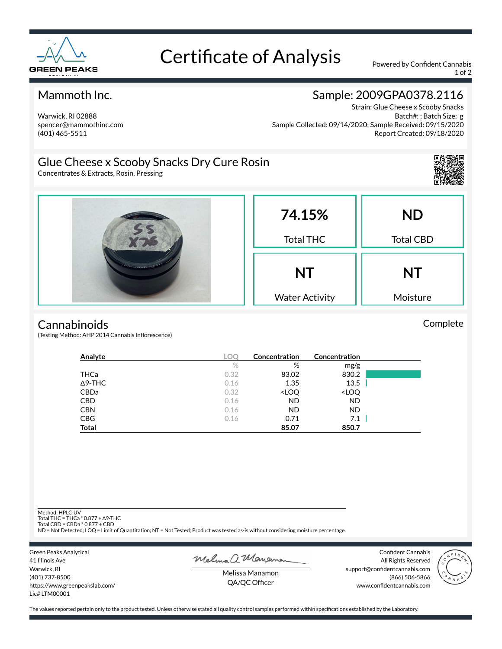

## Certificate of Analysis Powered by Confident Cannabis

1 of 2

#### Mammoth Inc.

#### Warwick, RI 02888 spencer@mammothinc.com (401) 465-5511

## Sample: 2009GPA0378.2116

Strain: Glue Cheese x Scooby Snacks Batch#: ; Batch Size: g Sample Collected: 09/14/2020; Sample Received: 09/15/2020 Report Created: 09/18/2020

## Glue Cheese x Scooby Snacks Dry Cure Rosin

Concentrates & Extracts, Rosin, Pressing



#### **Cannabinoids**

(Testing Method: AHP 2014 Cannabis Inflorescence)

| Analyte        | <b>LOC</b> | Concentration                                            | Concentration                |  |
|----------------|------------|----------------------------------------------------------|------------------------------|--|
|                | $\%$       | %                                                        | mg/g                         |  |
| <b>THCa</b>    | 0.32       | 83.02                                                    | 830.2                        |  |
| $\Delta$ 9-THC | 0.16       | 1.35                                                     | 13.5                         |  |
| CBDa           | 0.32       | <loq< th=""><th><loq< th=""><th></th></loq<></th></loq<> | <loq< th=""><th></th></loq<> |  |
| <b>CBD</b>     | 0.16       | <b>ND</b>                                                | ND                           |  |
| <b>CBN</b>     | 0.16       | <b>ND</b>                                                | <b>ND</b>                    |  |
| <b>CBG</b>     | 0.16       | 0.71                                                     | 7.1                          |  |
| <b>Total</b>   |            | 85.07                                                    | 850.7                        |  |

Method: HPLC-UV

Total THC = THCa \* 0.877 + ∆9-THC Total CBD = CBDa \* 0.877 + CBD

ND = Not Detected; LOQ = Limit of Quantitation; NT = Not Tested; Product was tested as-is without considering moisture percentage.

Green Peaks Analytical 41 Illinois Ave Warwick, RI (401) 737-8500 https://www.greenpeakslab.com/ Lic# LTM00001

Melma a Maneman

Confident Cannabis All Rights Reserved support@confidentcannabis.com (866) 506-5866 www.confidentcannabis.com



Melissa Manamon QA/QC Officer

The values reported pertain only to the product tested. Unless otherwise stated all quality control samples performed within specifications established by the Laboratory.

Complete